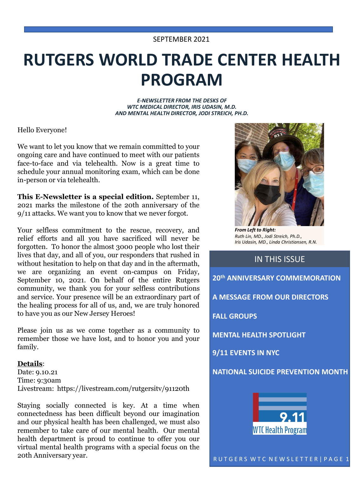# **RUTGERS WORLD TRADE CENTER HEALTH PROGRAM**

*E-NEWSLETTER FROM THE DESKS OF WTC MEDICAL DIRECTOR, IRIS UDASIN, M.D. AND MENTAL HEALTH DIRECTOR, JODI STREICH, PH.D.*

Hello Everyone!

We want to let you know that we remain committed to your ongoing care and have continued to meet with our patients face-to-face and via telehealth. Now is a great time to schedule your annual monitoring exam, which can be done in-person or via telehealth.

**This E-Newsletter is a special edition.** September 11, 2021 marks the milestone of the 20th anniversary of the 9/11 attacks. We want you to know that we never forgot.

Your selfless commitment to the rescue, recovery, and relief efforts and all you have sacrificed will never be forgotten. To honor the almost 3000 people who lost their lives that day, and all of you, our responders that rushed in without hesitation to help on that day and in the aftermath, we are organizing an event on-campus on Friday, September 10, 2021. On behalf of the entire Rutgers community, we thank you for your selfless contributions and service. Your presence will be an extraordinary part of the healing process for all of us, and, we are truly honored to have you as our New Jersey Heroes!

Please join us as we come together as a community to remember those we have lost, and to honor you and your family.

### **Details**:

Date: 9.10.21 Time: 9:30am Livestream: https://livestream.com/rutgersitv/91120th

Staying socially connected is key. At a time when connectedness has been difficult beyond our imagination and our physical health has been challenged, we must also remember to take care of our mental health. Our mental health department is proud to continue to offer you our virtual mental health programs with a special focus on the 20th Anniversary year.



*From Left to Right: Ruth Lin, MD., Jodi Streich, Ph.D., Iris Udasin, MD., Linda Christiansen, R.N.*

### IN THIS ISSUE

**20th ANNIVERSARY COMMEMORATION A MESSAGE FROM OUR DIRECTORS FALL GROUPS MENTAL HEALTH SPOTLIGHT 9/11 EVENTS IN NYC NATIONAL SUICIDE PREVENTION MONTH WTC Health Program**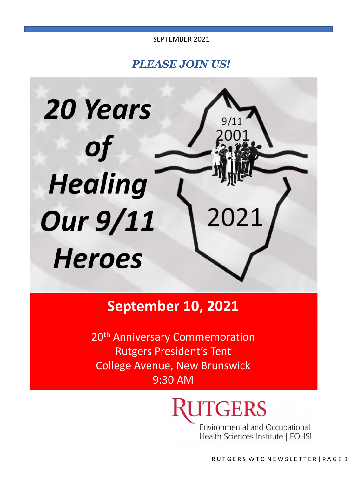*PLEASE JOIN US!*



# **September 10, 2021**

20<sup>th</sup> Anniversary Commemoration Rutgers President's Tent College Avenue, New Brunswick 9:30 AM

**JTGERS** 

Environmental and Occupational<br>Health Sciences Institute | EOHSI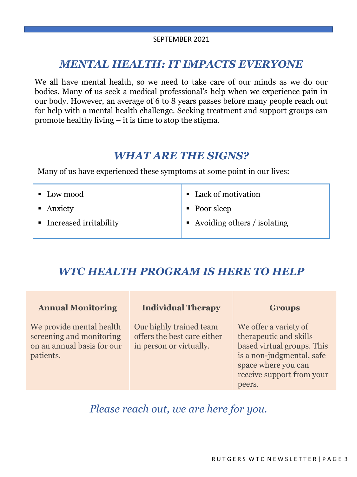# *MENTAL HEALTH: IT IMPACTS EVERYONE*

We all have mental health, so we need to take care of our minds as we do our bodies. Many of us seek a medical professional's help when we experience pain in our body. However, an average of 6 to 8 years passes before many people reach out for help with a mental health challenge. Seeking treatment and support groups can promote healthy living – it is time to stop the stigma.

## *WHAT ARE THE SIGNS?*

Many of us have experienced these symptoms at some point in our lives:

| • Low mood               | • Lack of motivation                       |
|--------------------------|--------------------------------------------|
| • Anxiety                | • Poor sleep                               |
| • Increased irritability | $\blacksquare$ Avoiding others / isolating |

# *WTC HEALTH PROGRAM IS HERE TO HELP*

| <b>Annual Monitoring</b>                                                                        | <b>Individual Therapy</b>                                                         | <b>Groups</b>                                                                                                                                                            |
|-------------------------------------------------------------------------------------------------|-----------------------------------------------------------------------------------|--------------------------------------------------------------------------------------------------------------------------------------------------------------------------|
| We provide mental health<br>screening and monitoring<br>on an annual basis for our<br>patients. | Our highly trained team<br>offers the best care either<br>in person or virtually. | We offer a variety of<br>therapeutic and skills<br>based virtual groups. This<br>is a non-judgmental, safe<br>space where you can<br>receive support from your<br>peers. |

*Please reach out, we are here for you.*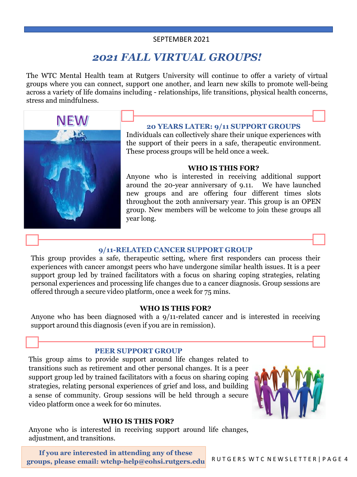# *2021 FALL VIRTUAL GROUPS!*

The WTC Mental Health team at Rutgers University will continue to offer a variety of virtual groups where you can connect, support one another, and learn new skills to promote well-being across a variety of life domains including - relationships, life transitions, physical health concerns, stress and mindfulness.



### **20 YEARS LATER: 9/11 SUPPORT GROUPS**

Individuals can collectively share their unique experiences with the support of their peers in a safe, therapeutic environment. These process groups will be held once a week.

### **WHO IS THIS FOR?**

Anyone who is interested in receiving additional support around the 20-year anniversary of 9.11. We have launched new groups and are offering four different times slots throughout the 20th anniversary year. This group is an OPEN group. New members will be welcome to join these groups all year long.

### **9/11-RELATED CANCER SUPPORT GROUP**

This group provides a safe, therapeutic setting, where first responders can process their experiences with cancer amongst peers who have undergone similar health issues. It is a peer support group led by trained facilitators with a focus on sharing coping strategies, relating personal experiences and processing life changes due to a cancer diagnosis. Group sessions are offered through a secure video platform, once a week for 75 mins.

### **WHO IS THIS FOR?**

Anyone who has been diagnosed with a 9/11-related cancer and is interested in receiving support around this diagnosis (even if you are in remission).

### **PEER SUPPORT GROUP**

This group aims to provide support around life changes related to transitions such as retirement and other personal changes. It is a peer support group led by trained facilitators with a focus on sharing coping strategies, relating personal experiences of grief and loss, and building a sense of community. Group sessions will be held through a secure video platform once a week for 60 minutes.



### **WHO IS THIS FOR?**

Anyone who is interested in receiving support around life changes, adjustment, and transitions.

**If you are interested in attending any of these groups, please email: wtchp-help@eohsi.rutgers.edu**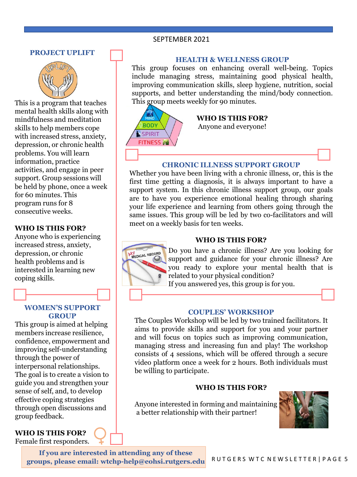### **PROJECT UPLIFT**



This is a program that teaches mental health skills along with mindfulness and meditation skills to help members cope with increased stress, anxiety, depression, or chronic health problems. You will learn information, practice activities, and engage in peer support. Group sessions will be held by phone, once a week for 60 minutes. This program runs for 8 consecutive weeks.

### **WHO IS THIS FOR?**

Anyone who is experiencing increased stress, anxiety, depression, or chronic health problems and is interested in learning new coping skills.

### **WOMEN'S SUPPORT GROUP**

This group is aimed at helping members increase resilience, confidence, empowerment and improving self-understanding through the power of interpersonal relationships. The goal is to create a vision to guide you and strengthen your sense of self, and, to develop effective coping strategies through open discussions and group feedback.

### **WHO IS THIS FOR?**  Female first responders.



### **HEALTH & WELLNESS GROUP**

This group focuses on enhancing overall well-being. Topics include managing stress, maintaining good physical health, improving communication skills, sleep hygiene, nutrition, social supports, and better understanding the mind/body connection. This group meets weekly for 90 minutes.



### **CHRONIC ILLNESS SUPPORT GROUP**

Whether you have been living with a chronic illness, or, this is the first time getting a diagnosis, it is always important to have a support system. In this chronic illness support group, our goals are to have you experience emotional healing through sharing your life experience and learning from others going through the same issues. This group will be led by two co-facilitators and will meet on a weekly basis for ten weeks.

### **WHO IS THIS FOR?**



Do you have a chronic illness? Are you looking for support and guidance for your chronic illness? Are you ready to explore your mental health that is related to your physical condition?

If you answered yes, this group is for you.

### **COUPLES' WORKSHOP**

The Couples Workshop will be led by two trained facilitators. It aims to provide skills and support for you and your partner and will focus on topics such as improving communication, managing stress and increasing fun and play! The workshop consists of 4 sessions, which will be offered through a secure video platform once a week for 2 hours. Both individuals must be willing to participate.

### **WHO IS THIS FOR?**

Anyone interested in forming and maintaining a better relationship with their partner!



**If you are interested in attending any of these groups, please email: wtchp-help@eohsi.rutgers.edu**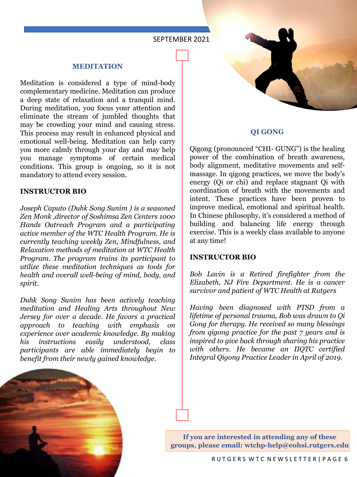### **MEDITATION**

Meditation is considered a type of mind-body complementary medicine. Meditation can produce a deep state of relaxation and a tranquil mind. During meditation, you focus your attention and eliminate the stream of jumbled thoughts that may be crowding your mind and causing stress. This process may result in enhanced physical and emotional well-being. Meditation can help carry you more calmly through your day and may help you manage symptoms of certain medical conditions. This group is ongoing, so it is not mandatory to attend every session.

### **INSTRUCTOR BIO**

*Joseph Caputo (Duhk Song Sunim ) is a seasoned Zen Monk ,director of Soshimsa Zen Centers 1000 Hands Outreach Program and a participating active member of the WTC Health Program. He is currently teaching weekly Zen, Mindfulness, and Relaxation methods of meditation at WTC Health Program. The program trains its participant to utilize these meditation techniques as tools for health and overall well-being of mind, body, and spirit.*

*Duhk Song Sunim has been actively teaching meditation and Healing Arts throughout New Jersey for over a decade. He favors a practical approach to teaching with emphasis on experience over academic knowledge. By making his instructions easily understood, class participants are able immediately begin to benefit from their newly gained knowledge.*



### **QI GONG**

Qigong (pronounced "CHI- GUNG") is the healing power of the combination of breath awareness, body alignment, meditative movements and selfmassage. In qigong practices, we move the body's energy (Qi or chi) and replace stagnant Qi with coordination of breath with the movements and intent. These practices have been proven to improve medical, emotional and spiritual health. In Chinese philosophy, it's considered a method of building and balancing life energy through exercise. This is a weekly class available to anyone at any time!

### **INSTRUCTOR BIO**

*Bob Lavin is a Retired firefighter from the Elizabeth, NJ Fire Department. He is a cancer survivor and patient of WTC Health at Rutgers*

*Having been diagnosed with PTSD from a lifetime of personal trauma, Bob was drawn to Qi Gong for therapy. He received so many blessings from qigong practice for the past 7 years and is inspired to give back through sharing his practice with others. He became an IIQTC certified Integral Qigong Practice Leader in April of 2019.*



**If you are interested in attending any of these groups, please email: wtchp-help@eohsi.rutgers.edu**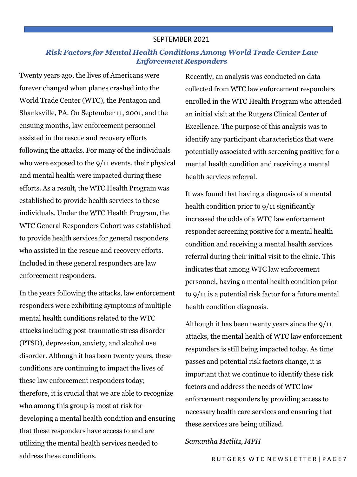### *Risk Factors for Mental Health Conditions Among World Trade Center Law Enforcement Responders*

Twenty years ago, the lives of Americans were forever changed when planes crashed into the World Trade Center (WTC), the Pentagon and Shanksville, PA. On September 11, 2001, and the ensuing months, law enforcement personnel assisted in the rescue and recovery efforts following the attacks. For many of the individuals who were exposed to the 9/11 events, their physical and mental health were impacted during these efforts. As a result, the WTC Health Program was established to provide health services to these individuals. Under the WTC Health Program, the WTC General Responders Cohort was established to provide health services for general responders who assisted in the rescue and recovery efforts. Included in these general responders are law enforcement responders.

In the years following the attacks, law enforcement responders were exhibiting symptoms of multiple mental health conditions related to the WTC attacks including post-traumatic stress disorder (PTSD), depression, anxiety, and alcohol use disorder. Although it has been twenty years, these conditions are continuing to impact the lives of these law enforcement responders today; therefore, it is crucial that we are able to recognize who among this group is most at risk for developing a mental health condition and ensuring that these responders have access to and are utilizing the mental health services needed to address these conditions.

Recently, an analysis was conducted on data collected from WTC law enforcement responders enrolled in the WTC Health Program who attended an initial visit at the Rutgers Clinical Center of Excellence. The purpose of this analysis was to identify any participant characteristics that were potentially associated with screening positive for a mental health condition and receiving a mental health services referral.

It was found that having a diagnosis of a mental health condition prior to 9/11 significantly increased the odds of a WTC law enforcement responder screening positive for a mental health condition and receiving a mental health services referral during their initial visit to the clinic. This indicates that among WTC law enforcement personnel, having a mental health condition prior to 9/11 is a potential risk factor for a future mental health condition diagnosis.

Although it has been twenty years since the 9/11 attacks, the mental health of WTC law enforcement responders is still being impacted today. As time passes and potential risk factors change, it is important that we continue to identify these risk factors and address the needs of WTC law enforcement responders by providing access to necessary health care services and ensuring that these services are being utilized.

### *Samantha Metlitz, MPH*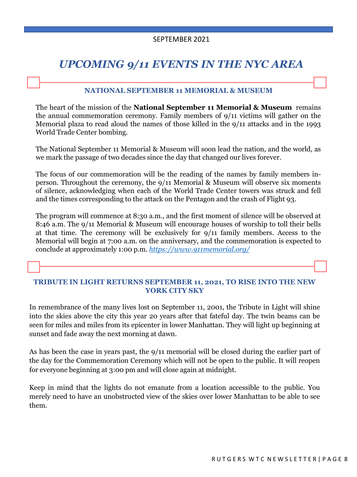# *UPCOMING 9/11 EVENTS IN THE NYC AREA*

### **NATIONAL SEPTEMBER 11 MEMORIAL & MUSEUM**

The heart of the mission of the **National September 11 Memorial & Museum** remains the annual commemoration ceremony. Family members of 9/11 victims will gather on the Memorial plaza to read aloud the names of those killed in the 9/11 attacks and in the 1993 World Trade Center bombing.

The National September 11 Memorial & Museum will soon lead the nation, and the world, as we mark the passage of two decades since the day that changed our lives forever.

The focus of our commemoration will be the reading of the names by family members inperson. Throughout the ceremony, the 9/11 Memorial & Museum will observe six moments of silence, acknowledging when each of the World Trade Center towers was struck and fell and the times corresponding to the attack on the Pentagon and the crash of Flight 93.

The program will commence at 8:30 a.m., and the first moment of silence will be observed at 8:46 a.m. The 9/11 Memorial & Museum will encourage houses of worship to toll their bells at that time. The ceremony will be exclusively for 9/11 family members. Access to the Memorial will begin at 7:00 a.m. on the anniversary, and the commemoration is expected to conclude at approximately 1:00 p.m. *[https://www.911memorial.org/](about:blank)*

### **TRIBUTE IN LIGHT RETURNS SEPTEMBER 11, 2021, TO RISE INTO THE NEW YORK CITY SKY**

In remembrance of the many lives lost on September 11, 2001, the Tribute in Light will shine into the skies above the city this year 20 years after that fateful day. The twin beams can be seen for miles and miles from its epicenter in lower Manhattan. They will light up beginning at sunset and fade away the next morning at dawn.

As has been the case in years past, the 9/11 memorial will be closed during the earlier part of the day for the Commemoration Ceremony which will not be open to the public. It will reopen for everyone beginning at 3:00 pm and will close again at midnight.

Keep in mind that the lights do not emanate from a location accessible to the public. You merely need to have an unobstructed view of the skies over lower Manhattan to be able to see them.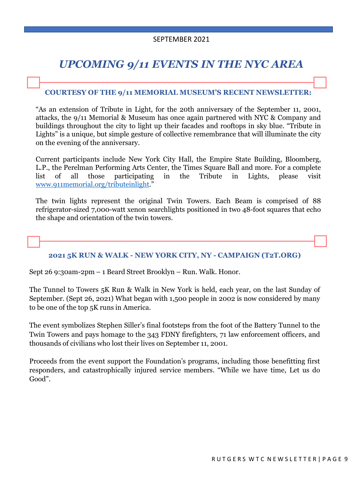# *UPCOMING 9/11 EVENTS IN THE NYC AREA*

### **COURTESY OF THE 9/11 MEMORIAL MUSEUM'S RECENT NEWSLETTER:**

"As an extension of Tribute in Light, for the 20th anniversary of the September 11, 2001, attacks, the 9/11 Memorial & Museum has once again partnered with NYC & Company and buildings throughout the city to light up their facades and rooftops in sky blue. "Tribute in Lights" is a unique, but simple gesture of collective remembrance that will illuminate the city on the evening of the anniversary.

Current participants include New York City Hall, the Empire State Building, Bloomberg, L.P., the Perelman Performing Arts Center, the Times Square Ball and more. For a complete list of all those participating in the Tribute in Lights, please visit [www.911memorial.org/tributeinlight.](about:blank)"

The twin lights represent the original Twin Towers. Each Beam is comprised of 88 refrigerator-sized 7,000-watt xenon searchlights positioned in two 48-foot squares that echo the shape and orientation of the twin towers.

### **2021 5K RUN & WALK - NEW YORK CITY, NY - CAMPAIGN (T2T.ORG)**

Sept 26 9:30am-2pm – 1 Beard Street Brooklyn – Run. Walk. Honor.

The Tunnel to Towers 5K Run & Walk in New York is held, each year, on the last Sunday of September. (Sept 26, 2021) What began with 1,500 people in 2002 is now considered by many to be one of the top 5K runs in America.

The event symbolizes Stephen Siller's final footsteps from the foot of the Battery Tunnel to the Twin Towers and pays homage to the 343 FDNY firefighters, 71 law enforcement officers, and thousands of civilians who lost their lives on September 11, 2001.

Proceeds from the event support the Foundation's programs, including those benefitting first responders, and catastrophically injured service members. "While we have time, Let us do Good".